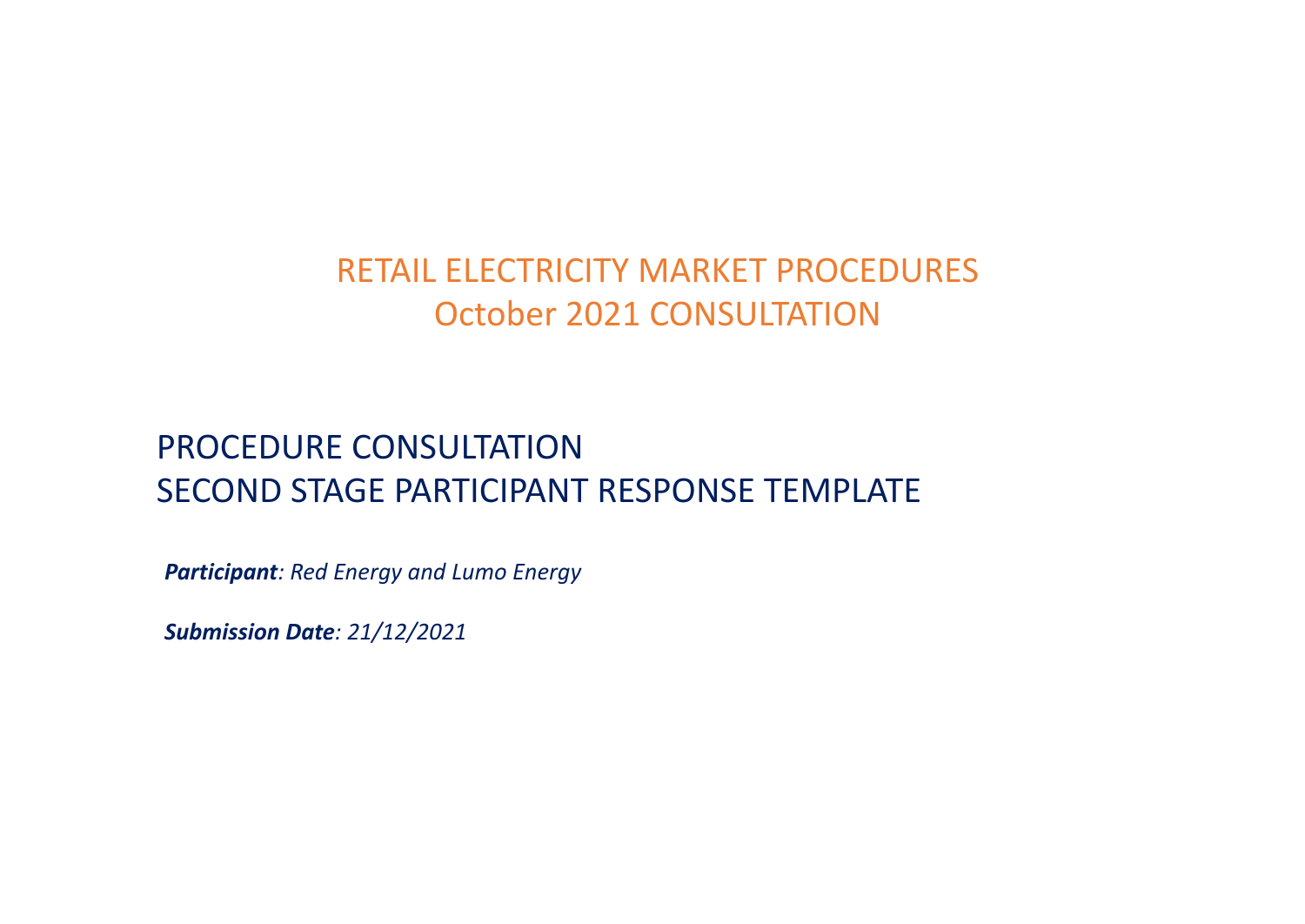## RETAIL ELECTRICITY MARKET PROCEDURES October 2021 CONSULTATION

## PROCEDURE CONSULTATION SECOND STAGE PARTICIPANT RESPONSE TEMPLATE

*Participant: Red Energy and Lumo Energy*

*Submission Date: 21/12/2021*